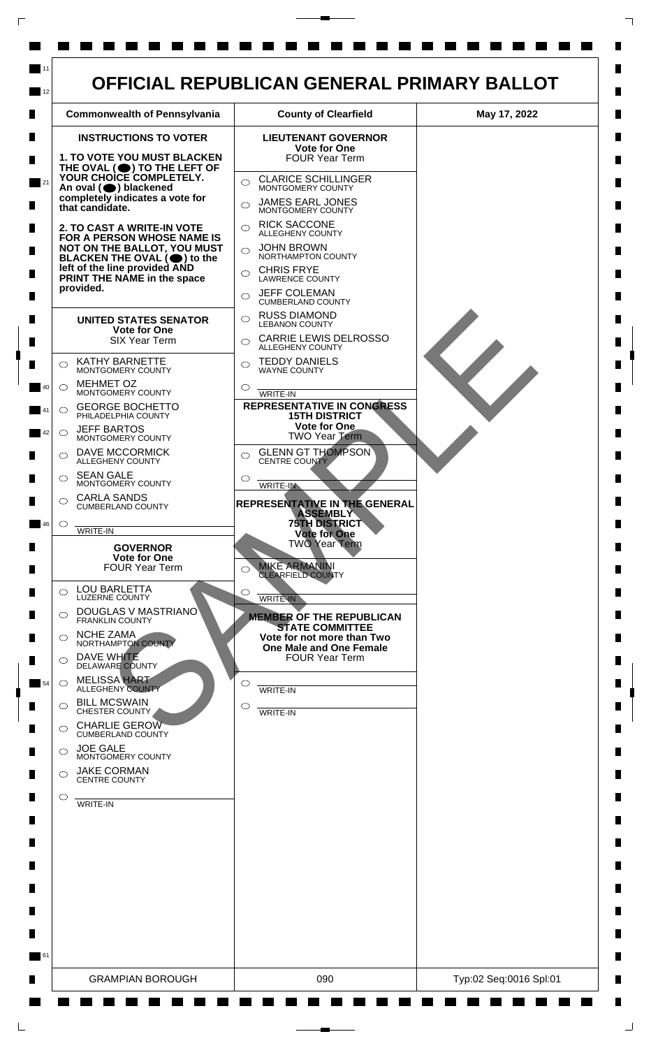

 $\mathsf{L}$